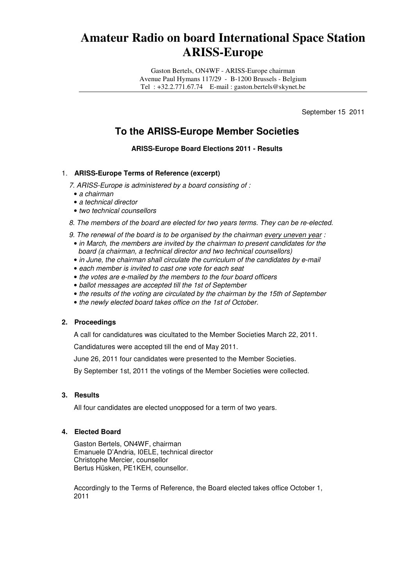# **Amateur Radio on board International Space Station ARISS-Europe**

Gaston Bertels, ON4WF - ARISS-Europe chairman Avenue Paul Hymans 117/29 - B-1200 Brussels - Belgium Tel : +32.2.771.67.74 E-mail : gaston.bertels@skynet.be

September 15 2011

## **To the ARISS-Europe Member Societies**

**ARISS-Europe Board Elections 2011 - Results** 

#### 1. **ARISS-Europe Terms of Reference (excerpt)**

7. ARISS-Europe is administered by a board consisting of :

- a chairman
- a technical director
- two technical counsellors

8. The members of the board are elected for two years terms. They can be re-elected.

- 9. The renewal of the board is to be organised by the chairman every uneven year :
- in March, the members are invited by the chairman to present candidates for the board (a chairman, a technical director and two technical counsellors)
- in June, the chairman shall circulate the curriculum of the candidates by e-mail
- each member is invited to cast one vote for each seat
- the votes are e-mailed by the members to the four board officers
- ballot messages are accepted till the 1st of September
- the results of the voting are circulated by the chairman by the 15th of September
- the newly elected board takes office on the 1st of October.

#### **2. Proceedings**

A call for candidatures was cicultated to the Member Societies March 22, 2011.

Candidatures were accepted till the end of May 2011.

June 26, 2011 four candidates were presented to the Member Societies.

By September 1st, 2011 the votings of the Member Societies were collected.

#### **3. Results**

All four candidates are elected unopposed for a term of two years.

#### **4. Elected Board**

Gaston Bertels, ON4WF, chairman Emanuele D'Andria, I0ELE, technical director Christophe Mercier, counsellor Bertus Hüsken, PE1KEH, counsellor.

Accordingly to the Terms of Reference, the Board elected takes office October 1, 2011